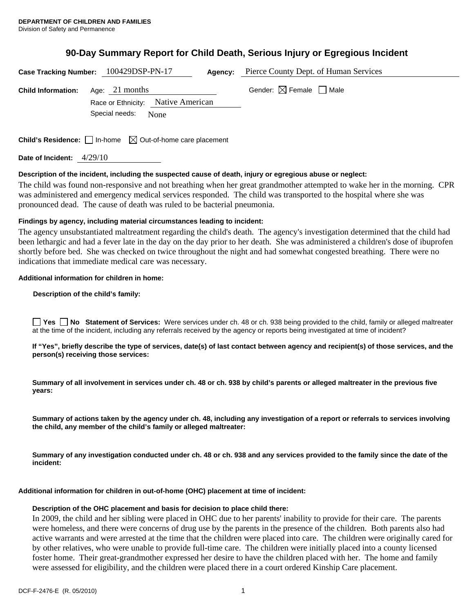# **90-Day Summary Report for Child Death, Serious Injury or Egregious Incident**

|                           | Case Tracking Number: 100429DSP-PN-17                                           | <b>Agency:</b> Pierce County Dept. of Human Services |
|---------------------------|---------------------------------------------------------------------------------|------------------------------------------------------|
| <b>Child Information:</b> | Age: $21$ months                                                                | Gender: $\boxtimes$ Female $\Box$ Male               |
|                           | Race or Ethnicity: Native American<br>Special needs: None                       |                                                      |
|                           | <b>Child's Residence:</b> $\Box$ In-home $\boxtimes$ Out-of-home care placement |                                                      |

**Date of Incident:** 4/29/10

#### **Description of the incident, including the suspected cause of death, injury or egregious abuse or neglect:**

The child was found non-responsive and not breathing when her great grandmother attempted to wake her in the morning. CPR was administered and emergency medical services responded. The child was transported to the hospital where she was pronounced dead. The cause of death was ruled to be bacterial pneumonia.

### **Findings by agency, including material circumstances leading to incident:**

The agency unsubstantiated maltreatment regarding the child's death. The agency's investigation determined that the child had been lethargic and had a fever late in the day on the day prior to her death. She was administered a children's dose of ibuprofen shortly before bed. She was checked on twice throughout the night and had somewhat congested breathing. There were no indications that immediate medical care was necessary.

#### **Additional information for children in home:**

#### **Description of the child's family:**

**No Statement of Services:** Were services under ch. 48 or ch. 938 being provided to the child, family or alleged maltreater at the time of the incident, including any referrals received by the agency or reports being investigated at time of incident?

**If "Yes", briefly describe the type of services, date(s) of last contact between agency and recipient(s) of those services, and the person(s) receiving those services:** 

**Summary of all involvement in services under ch. 48 or ch. 938 by child's parents or alleged maltreater in the previous five years:** 

**Summary of actions taken by the agency under ch. 48, including any investigation of a report or referrals to services involving the child, any member of the child's family or alleged maltreater:** 

**Summary of any investigation conducted under ch. 48 or ch. 938 and any services provided to the family since the date of the incident:** 

#### **Additional information for children in out-of-home (OHC) placement at time of incident:**

#### **Description of the OHC placement and basis for decision to place child there:**

In 2009, the child and her sibling were placed in OHC due to her parents' inability to provide for their care. The parents were homeless, and there were concerns of drug use by the parents in the presence of the children. Both parents also had active warrants and were arrested at the time that the children were placed into care. The children were originally cared for by other relatives, who were unable to provide full-time care. The children were initially placed into a county licensed foster home. Their great-grandmother expressed her desire to have the children placed with her. The home and family were assessed for eligibility, and the children were placed there in a court ordered Kinship Care placement.